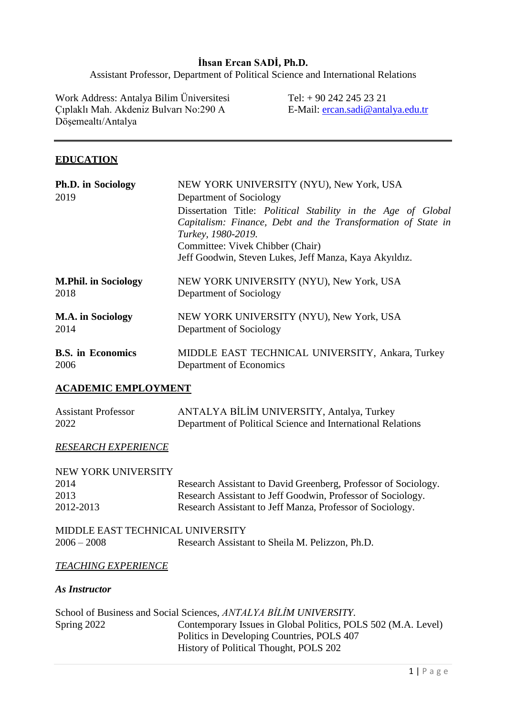## **İhsan Ercan SADİ, Ph.D.**

Assistant Professor, Department of Political Science and International Relations

Work Address: Antalya Bilim Üniversitesi Çıplaklı Mah. Akdeniz Bulvarı No:290 A Döşemealtı/Antalya

Tel: + 90 242 245 23 21 E-Mail: [ercan.sadi@antalya.edu.tr](mailto:ercan.sadi@antalya.edu.tr)

### **EDUCATION**

| Ph.D. in Sociology                  | NEW YORK UNIVERSITY (NYU), New York, USA                                    |
|-------------------------------------|-----------------------------------------------------------------------------|
| 2019                                | Department of Sociology                                                     |
|                                     | Dissertation Title: Political Stability in the Age of Global                |
|                                     | Capitalism: Finance, Debt and the Transformation of State in                |
|                                     | Turkey, 1980-2019.                                                          |
|                                     | Committee: Vivek Chibber (Chair)                                            |
|                                     | Jeff Goodwin, Steven Lukes, Jeff Manza, Kaya Akyıldız.                      |
| <b>M.Phil. in Sociology</b><br>2018 | NEW YORK UNIVERSITY (NYU), New York, USA<br>Department of Sociology         |
| <b>M.A.</b> in Sociology<br>2014    | NEW YORK UNIVERSITY (NYU), New York, USA<br>Department of Sociology         |
| <b>B.S.</b> in Economics<br>2006    | MIDDLE EAST TECHNICAL UNIVERSITY, Ankara, Turkey<br>Department of Economics |

### **ACADEMIC EMPLOYMENT**

| <b>Assistant Professor</b> | ANTALYA BİLİM UNIVERSITY, Antalya, Turkey                   |
|----------------------------|-------------------------------------------------------------|
| 2022                       | Department of Political Science and International Relations |

#### *RESEARCH EXPERIENCE*

| NEW YORK UNIVERSITY              |                                                                |
|----------------------------------|----------------------------------------------------------------|
| 2014                             | Research Assistant to David Greenberg, Professor of Sociology. |
| 2013                             | Research Assistant to Jeff Goodwin, Professor of Sociology.    |
| 2012-2013                        | Research Assistant to Jeff Manza, Professor of Sociology.      |
| MIDDLE EAST TECHNICAL UNIVERSITY |                                                                |
| $2006 - 2008$                    | Research Assistant to Sheila M. Pelizzon, Ph.D.                |

#### *TEACHING EXPERIENCE*

#### *As Instructor*

|             | School of Business and Social Sciences, ANTALYA BİLİM UNIVERSITY. |
|-------------|-------------------------------------------------------------------|
| Spring 2022 | Contemporary Issues in Global Politics, POLS 502 (M.A. Level)     |
|             | Politics in Developing Countries, POLS 407                        |
|             | History of Political Thought, POLS 202                            |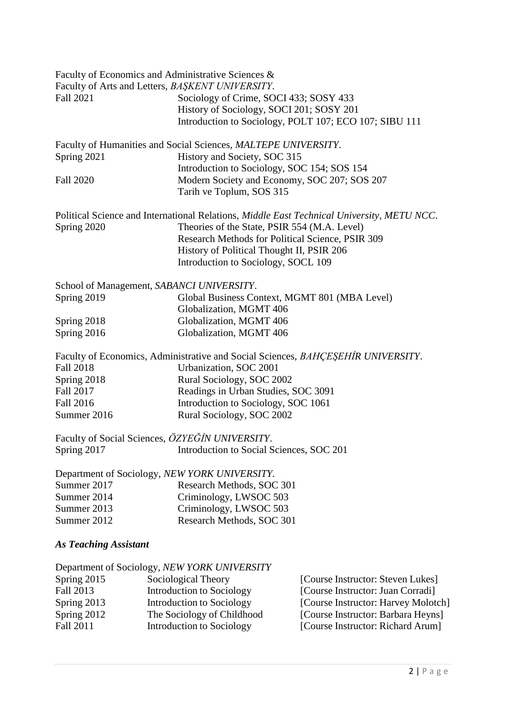|                              | Faculty of Economics and Administrative Sciences &             |                                                                                            |
|------------------------------|----------------------------------------------------------------|--------------------------------------------------------------------------------------------|
|                              | Faculty of Arts and Letters, BAŞKENT UNIVERSITY.               |                                                                                            |
| <b>Fall 2021</b>             | Sociology of Crime, SOCI 433; SOSY 433                         |                                                                                            |
|                              | History of Sociology, SOCI 201; SOSY 201                       |                                                                                            |
|                              |                                                                | Introduction to Sociology, POLT 107; ECO 107; SIBU 111                                     |
|                              | Faculty of Humanities and Social Sciences, MALTEPE UNIVERSITY. |                                                                                            |
| Spring 2021                  | History and Society, SOC 315                                   |                                                                                            |
|                              | Introduction to Sociology, SOC 154; SOS 154                    |                                                                                            |
| <b>Fall 2020</b>             | Tarih ve Toplum, SOS 315                                       | Modern Society and Economy, SOC 207; SOS 207                                               |
|                              |                                                                | Political Science and International Relations, Middle East Technical University, METU NCC. |
| Spring 2020                  | Theories of the State, PSIR 554 (M.A. Level)                   |                                                                                            |
|                              |                                                                | Research Methods for Political Science, PSIR 309                                           |
|                              | History of Political Thought II, PSIR 206                      |                                                                                            |
|                              | Introduction to Sociology, SOCL 109                            |                                                                                            |
|                              | School of Management, SABANCI UNIVERSITY.                      |                                                                                            |
| Spring 2019                  |                                                                | Global Business Context, MGMT 801 (MBA Level)                                              |
|                              | Globalization, MGMT 406                                        |                                                                                            |
| Spring 2018                  | Globalization, MGMT 406                                        |                                                                                            |
| Spring 2016                  | Globalization, MGMT 406                                        |                                                                                            |
|                              |                                                                | Faculty of Economics, Administrative and Social Sciences, BAHÇEŞEHİR UNIVERSITY.           |
| <b>Fall 2018</b>             | Urbanization, SOC 2001                                         |                                                                                            |
| Spring 2018                  | Rural Sociology, SOC 2002                                      |                                                                                            |
| Fall 2017                    | Readings in Urban Studies, SOC 3091                            |                                                                                            |
| <b>Fall 2016</b>             | Introduction to Sociology, SOC 1061                            |                                                                                            |
| Summer 2016                  | Rural Sociology, SOC 2002                                      |                                                                                            |
|                              | Faculty of Social Sciences, ÖZYEĞİN UNIVERSITY.                |                                                                                            |
|                              | Spring 2017 <b>Introduction to Social Sciences, SOC 201</b>    |                                                                                            |
|                              | Department of Sociology, NEW YORK UNIVERSITY.                  |                                                                                            |
| Summer 2017                  | Research Methods, SOC 301                                      |                                                                                            |
| Summer 2014                  | Criminology, LWSOC 503                                         |                                                                                            |
| Summer 2013                  | Criminology, LWSOC 503                                         |                                                                                            |
| Summer 2012                  | Research Methods, SOC 301                                      |                                                                                            |
| <b>As Teaching Assistant</b> |                                                                |                                                                                            |
|                              | Department of Sociology, NEW YORK UNIVERSITY                   |                                                                                            |
| Spring 2015                  | Sociological Theory                                            | [Course Instructor: Steven Lukes]                                                          |
| Fall 2013                    | <b>Introduction to Sociology</b>                               | [Course Instructor: Juan Corradi]                                                          |

- Spring 2013 Introduction to Sociology [Course Instructor: Harvey Molotch]
- Spring 2012 The Sociology of Childhood [Course Instructor: Barbara Heyns]
- Fall 2011 **Introduction to Sociology** [Course Instructor: Richard Arum]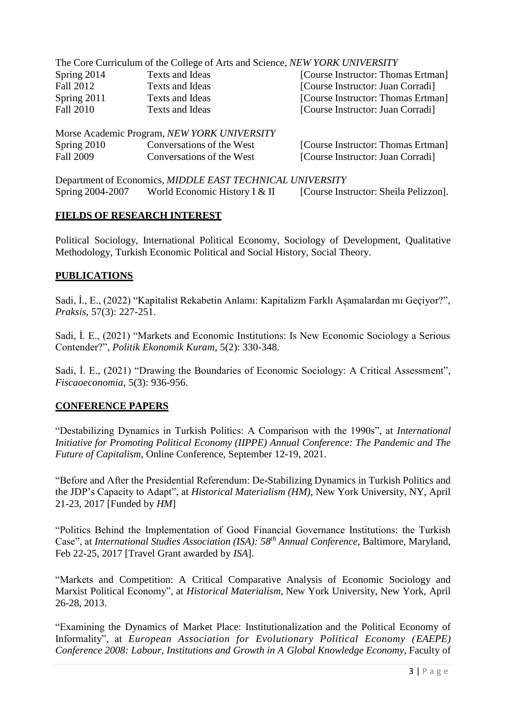|                  |                 | The Core Curriculum of the College of Arts and Science, NEW YORK UNIVERSITY |
|------------------|-----------------|-----------------------------------------------------------------------------|
| Spring 2014      | Texts and Ideas | [Course Instructor: Thomas Ertman]                                          |
| <b>Fall 2012</b> | Texts and Ideas | [Course Instructor: Juan Corradi]                                           |
| Spring $2011$    | Texts and Ideas | [Course Instructor: Thomas Ertman]                                          |
| <b>Fall 2010</b> | Texts and Ideas | [Course Instructor: Juan Corradi]                                           |
|                  |                 |                                                                             |

|               | Morse Academic Program, NEW YORK UNIVERSITY |                                    |
|---------------|---------------------------------------------|------------------------------------|
| Spring $2010$ | Conversations of the West                   | [Course Instructor: Thomas Ertman] |
| Fall 2009     | Conversations of the West                   | [Course Instructor: Juan Corradi]  |

Department of Economics, *MIDDLE EAST TECHNICAL UNIVERSITY* Spring 2004-2007 World Economic History I & II [Course Instructor: Sheila Pelizzon].

## **FIELDS OF RESEARCH INTEREST**

Political Sociology, International Political Economy, Sociology of Development, Qualitative Methodology, Turkish Economic Political and Social History, Social Theory.

## **PUBLICATIONS**

Sadi, İ., E., (2022) "Kapitalist Rekabetin Anlamı: Kapitalizm Farklı Aşamalardan mı Geçiyor?", *Praksis*, 57(3): 227-251.

Sadi, İ. E., (2021) "Markets and Economic Institutions: Is New Economic Sociology a Serious Contender?", *Politik Ekonomik Kuram*, 5(2): 330-348.

Sadi, İ. E., (2021) "Drawing the Boundaries of Economic Sociology: A Critical Assessment", *Fiscaoeconomia*, 5(3): 936-956.

## **CONFERENCE PAPERS**

"Destabilizing Dynamics in Turkish Politics: A Comparison with the 1990s", at *International Initiative for Promoting Political Economy (IIPPE) Annual Conference: The Pandemic and The Future of Capitalism*, Online Conference, September 12-19, 2021.

"Before and After the Presidential Referendum: De-Stabilizing Dynamics in Turkish Politics and the JDP's Capacity to Adapt", at *Historical Materialism (HM),* New York University, NY, April 21-23, 2017 [Funded by *HM*]

"Politics Behind the Implementation of Good Financial Governance Institutions: the Turkish Case", at *International Studies Association (ISA): 58th Annual Conference*, Baltimore, Maryland, Feb 22-25, 2017 [Travel Grant awarded by *ISA*].

"Markets and Competition: A Critical Comparative Analysis of Economic Sociology and Marxist Political Economy", at *Historical Materialism*, New York University, New York, April 26-28, 2013.

"Examining the Dynamics of Market Place: Institutionalization and the Political Economy of Informality", at *European Association for Evolutionary Political Economy (EAEPE) Conference 2008: Labour, Institutions and Growth in A Global Knowledge Economy*, Faculty of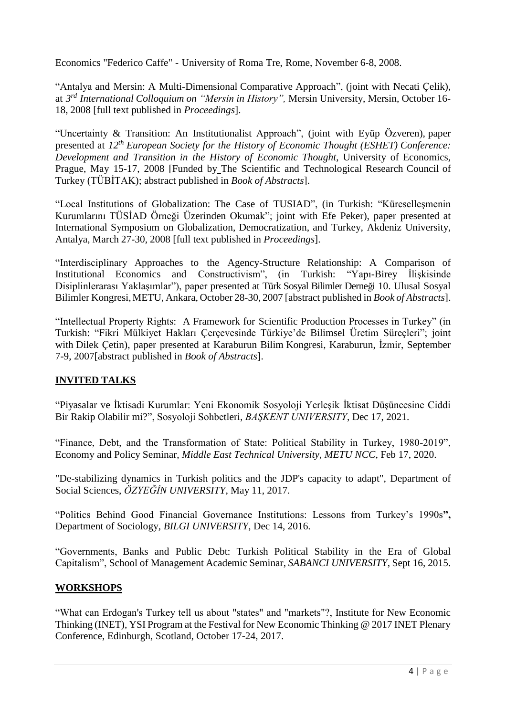Economics "Federico Caffe" - University of Roma Tre, Rome, November 6-8, 2008.

"Antalya and Mersin: A Multi-Dimensional Comparative Approach", (joint with Necati Çelik), at *3 rd International Colloquium on "Mersin in History",* Mersin University, Mersin, October 16- 18, 2008 [full text published in *Proceedings*].

"Uncertainty & Transition: An Institutionalist Approach", (joint with Eyüp Özveren), paper presented at *12th European Society for the History of Economic Thought (ESHET) Conference: Development and Transition in the History of Economic Thought*, University of Economics, Prague, May 15-17, 2008 [Funded by The Scientific and Technological Research Council of Turkey (TÜBİTAK); abstract published in *Book of Abstracts*].

"Local Institutions of Globalization: The Case of TUSIAD", (in Turkish: "Küreselleşmenin Kurumlarını TÜSİAD Örneği Üzerinden Okumak"; joint with Efe Peker), paper presented at International Symposium on Globalization, Democratization, and Turkey, Akdeniz University, Antalya, March 27-30, 2008 [full text published in *Proceedings*].

"Interdisciplinary Approaches to the Agency-Structure Relationship: A Comparison of Institutional Economics and Constructivism", (in Turkish: "Yapı-Birey İlişkisinde Disiplinlerarası Yaklaşımlar"), paper presented at Türk Sosyal Bilimler Derneği 10. Ulusal Sosyal Bilimler Kongresi, METU, Ankara, October 28-30, 2007 [abstract published in *Book of Abstracts*].

"Intellectual Property Rights: A Framework for Scientific Production Processes in Turkey" (in Turkish: "Fikri Mülkiyet Hakları Çerçevesinde Türkiye'de Bilimsel Üretim Süreçleri"; joint with Dilek Çetin), paper presented at Karaburun Bilim Kongresi, Karaburun, İzmir, September 7-9, 2007[abstract published in *Book of Abstracts*].

## **INVITED TALKS**

"Piyasalar ve İktisadi Kurumlar: Yeni Ekonomik Sosyoloji Yerleşik İktisat Düşüncesine Ciddi Bir Rakip Olabilir mi?", Sosyoloji Sohbetleri, *BAŞKENT UNIVERSITY*, Dec 17, 2021.

"Finance, Debt, and the Transformation of State: Political Stability in Turkey, 1980-2019", Economy and Policy Seminar, *Middle East Technical University, METU NCC*, Feb 17, 2020.

"De-stabilizing dynamics in Turkish politics and the JDP's capacity to adapt", Department of Social Sciences, *ÖZYEĞİN UNIVERSITY*, May 11, 2017.

"Politics Behind Good Financial Governance Institutions: Lessons from Turkey's 1990s**",**  Department of Sociology, *BILGI UNIVERSITY*, Dec 14, 2016.

"Governments, Banks and Public Debt: Turkish Political Stability in the Era of Global Capitalism", School of Management Academic Seminar, *SABANCI UNIVERSITY*, Sept 16, 2015.

## **WORKSHOPS**

"What can Erdogan's Turkey tell us about "states" and "markets"?, Institute for New Economic Thinking (INET), YSI Program at the Festival for New Economic Thinking @ 2017 INET Plenary Conference, Edinburgh, Scotland, October 17-24, 2017.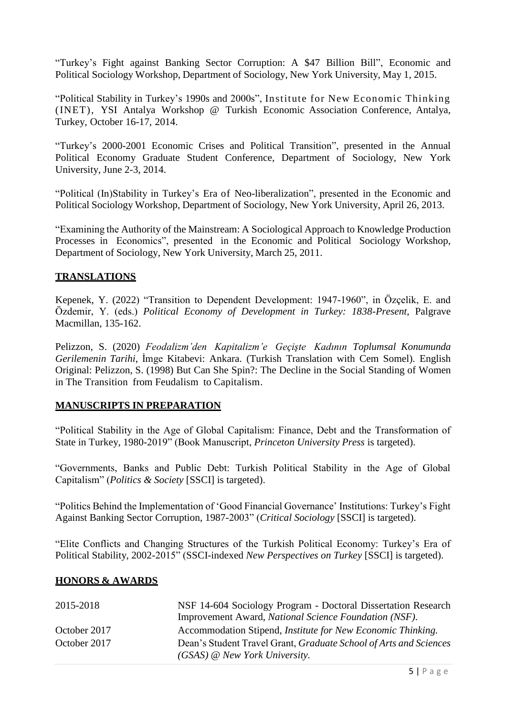"Turkey's Fight against Banking Sector Corruption: A \$47 Billion Bill", Economic and Political Sociology Workshop, Department of Sociology, New York University, May 1, 2015.

"Political Stability in Turkey's 1990s and 2000s", Institute for New Economic Thinking (INET), YSI Antalya Workshop @ Turkish Economic Association Conference, Antalya, Turkey, October 16-17, 2014.

"Turkey's 2000-2001 Economic Crises and Political Transition", presented in the Annual Political Economy Graduate Student Conference, Department of Sociology, New York University, June 2-3, 2014.

"Political (In)Stability in Turkey's Era of Neo-liberalization", presented in the Economic and Political Sociology Workshop, Department of Sociology, New York University, April 26, 2013.

"Examining the Authority of the Mainstream: A Sociological Approach to Knowledge Production Processes in Economics", presented in the Economic and Political Sociology Workshop, Department of Sociology, New York University, March 25, 2011.

## **TRANSLATIONS**

Kepenek, Y. (2022) "Transition to Dependent Development: 1947-1960", in Özçelik, E. and Özdemir, Y. (eds.) *Political Economy of Development in Turkey: 1838-Present*, Palgrave Macmillan, 135-162.

Pelizzon, S. (2020) *Feodalizm'den Kapitalizm'e Geçişte Kadının Toplumsal Konumunda Gerilemenin Tarihi*, İmge Kitabevi: Ankara. (Turkish Translation with Cem Somel). English Original: Pelizzon, S. (1998) But Can She Spin?: The Decline in the Social Standing of Women in The Transition from Feudalism to Capitalism.

### **MANUSCRIPTS IN PREPARATION**

"Political Stability in the Age of Global Capitalism: Finance, Debt and the Transformation of State in Turkey, 1980-2019" (Book Manuscript, *Princeton University Press* is targeted).

"Governments, Banks and Public Debt: Turkish Political Stability in the Age of Global Capitalism" (*Politics & Society* [SSCI] is targeted).

"Politics Behind the Implementation of 'Good Financial Governance' Institutions: Turkey's Fight Against Banking Sector Corruption, 1987-2003" (*Critical Sociology* [SSCI] is targeted).

"Elite Conflicts and Changing Structures of the Turkish Political Economy: Turkey's Era of Political Stability, 2002-2015" (SSCI-indexed *New Perspectives on Turkey* [SSCI] is targeted).

### **HONORS & AWARDS**

| 2015-2018    | NSF 14-604 Sociology Program - Doctoral Dissertation Research                                        |
|--------------|------------------------------------------------------------------------------------------------------|
|              | Improvement Award, National Science Foundation (NSF).                                                |
| October 2017 | Accommodation Stipend, Institute for New Economic Thinking.                                          |
| October 2017 | Dean's Student Travel Grant, Graduate School of Arts and Sciences<br>$(GSAS)$ @ New York University. |